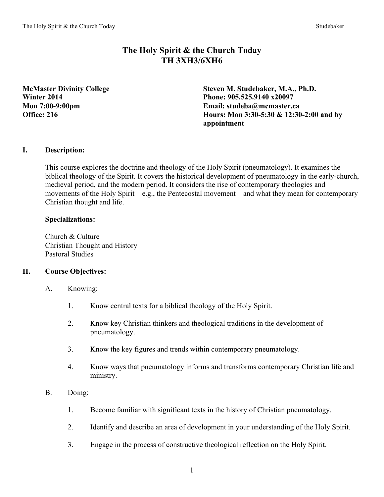# **The Holy Spirit & the Church Today TH 3XH3/6XH6**

**McMaster Divinity College Steven M. Studebaker, M.A., Ph.D. Winter 2014 Phone: 905.525.9140 x20097 Mon 7:00-9:00pm Email: studeba@mcmaster.ca Office: 216 Hours: Mon 3:30-5:30 & 12:30-2:00 and by appointment**

## **I. Description:**

This course explores the doctrine and theology of the Holy Spirit (pneumatology). It examines the biblical theology of the Spirit. It covers the historical development of pneumatology in the early-church, medieval period, and the modern period. It considers the rise of contemporary theologies and movements of the Holy Spirit—e.g., the Pentecostal movement—and what they mean for contemporary Christian thought and life.

#### **Specializations:**

Church & Culture Christian Thought and History Pastoral Studies

## **II. Course Objectives:**

- A. Knowing:
	- 1. Know central texts for a biblical theology of the Holy Spirit.
	- 2. Know key Christian thinkers and theological traditions in the development of pneumatology.
	- 3. Know the key figures and trends within contemporary pneumatology.
	- 4. Know ways that pneumatology informs and transforms contemporary Christian life and ministry.
- B. Doing:
	- 1. Become familiar with significant texts in the history of Christian pneumatology.
	- 2. Identify and describe an area of development in your understanding of the Holy Spirit.
	- 3. Engage in the process of constructive theological reflection on the Holy Spirit.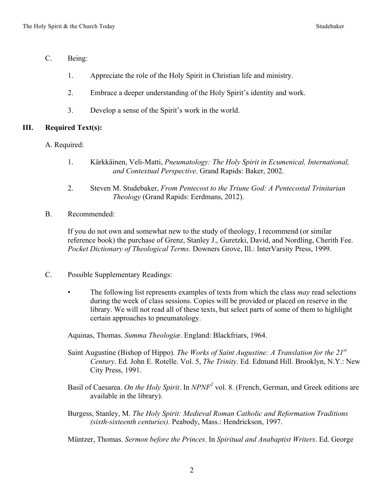- C. Being:
	- 1. Appreciate the role of the Holy Spirit in Christian life and ministry.
	- 2. Embrace a deeper understanding of the Holy Spirit's identity and work.
	- 3. Develop a sense of the Spirit's work in the world.

# **III. Required Text(s):**

- A. Required:
	- 1. Kärkkäinen, Veli-Matti, *Pneumatology: The Holy Spirit in Ecumenical, International, and Contextual Perspective*. Grand Rapids: Baker, 2002.
	- 2. Steven M. Studebaker, *From Pentecost to the Triune God: A Pentecostal Trinitarian Theology* (Grand Rapids: Eerdmans, 2012).
- B. Recommended:

If you do not own and somewhat new to the study of theology, I recommend (or similar reference book) the purchase of Grenz, Stanley J., Guretzki, David, and Nordling, Cherith Fee. *Pocket Dictionary of Theological Terms*. Downers Grove, Ill.: InterVarsity Press, 1999.

- C. Possible Supplementary Readings:
	- The following list represents examples of texts from which the class *may* read selections during the week of class sessions. Copies will be provided or placed on reserve in the library. We will not read all of these texts, but select parts of some of them to highlight certain approaches to pneumatology.

Aquinas, Thomas. *Summa Theologiæ*. England: Blackfriars, 1964.

- Saint Augustine (Bishop of Hippo). *The Works of Saint Augustine: A Translation for the 21st Century*. Ed. John E. Rotelle. Vol. 5, *The Trinity*. Ed. Edmund Hill. Brooklyn, N.Y.: New City Press, 1991.
- Basil of Caesarea. *On the Holy Spirit*. In *NPNF2* vol. 8. (French, German, and Greek editions are available in the library).
- Burgess, Stanley, M. *The Holy Spirit: Medieval Roman Catholic and Reformation Traditions (sixth-sixteenth centuries)*. Peabody, Mass.: Hendrickson, 1997.

Müntzer, Thomas. *Sermon before the Princes*. In *Spiritual and Anabaptist Writers*. Ed. George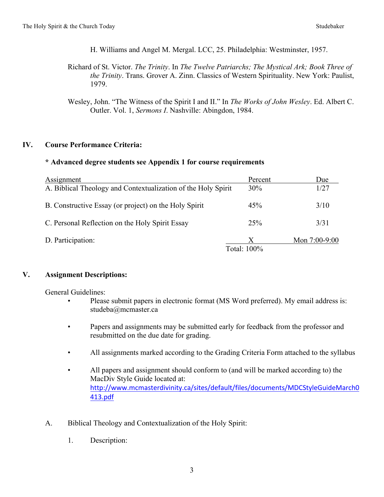H. Williams and Angel M. Mergal. LCC, 25. Philadelphia: Westminster, 1957.

Richard of St. Victor. *The Trinity*. In *The Twelve Patriarchs; The Mystical Ark; Book Three of the Trinity*. Trans. Grover A. Zinn. Classics of Western Spirituality. New York: Paulist, 1979.

## **IV. Course Performance Criteria:**

## **\* Advanced degree students see Appendix 1 for course requirements**

| Assignment                                                    | Percent     | Due             |
|---------------------------------------------------------------|-------------|-----------------|
| A. Biblical Theology and Contextualization of the Holy Spirit | 30%         | 1/27            |
| B. Constructive Essay (or project) on the Holy Spirit         | 45%         | 3/10            |
| C. Personal Reflection on the Holy Spirit Essay               | 25%         | 3/31            |
| D. Participation:                                             | Х           | Mon $7:00-9:00$ |
|                                                               | Total: 100% |                 |

## **V. Assignment Descriptions:**

General Guidelines:

- Please submit papers in electronic format (MS Word preferred). My email address is: studeba@mcmaster.ca
- Papers and assignments may be submitted early for feedback from the professor and resubmitted on the due date for grading.
- All assignments marked according to the Grading Criteria Form attached to the syllabus
- All papers and assignment should conform to (and will be marked according to) the MacDiv Style Guide located at: http://www.mcmasterdivinity.ca/sites/default/files/documents/MDCStyleGuideMarch0 413.pdf
- A. Biblical Theology and Contextualization of the Holy Spirit:
	- 1. Description:

Wesley, John. "The Witness of the Spirit I and II." In *The Works of John Wesley*. Ed. Albert C. Outler. Vol. 1, *Sermons I*. Nashville: Abingdon, 1984.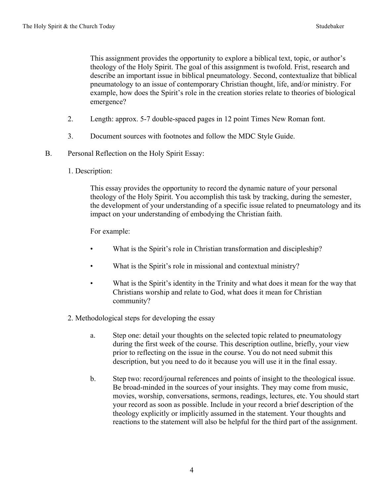This assignment provides the opportunity to explore a biblical text, topic, or author's theology of the Holy Spirit. The goal of this assignment is twofold. Frist, research and describe an important issue in biblical pneumatology. Second, contextualize that biblical pneumatology to an issue of contemporary Christian thought, life, and/or ministry. For example, how does the Spirit's role in the creation stories relate to theories of biological emergence?

- 2. Length: approx. 5-7 double-spaced pages in 12 point Times New Roman font.
- 3. Document sources with footnotes and follow the MDC Style Guide.
- B. Personal Reflection on the Holy Spirit Essay:
	- 1. Description:

This essay provides the opportunity to record the dynamic nature of your personal theology of the Holy Spirit. You accomplish this task by tracking, during the semester, the development of your understanding of a specific issue related to pneumatology and its impact on your understanding of embodying the Christian faith.

For example:

- What is the Spirit's role in Christian transformation and discipleship?
- What is the Spirit's role in missional and contextual ministry?
- What is the Spirit's identity in the Trinity and what does it mean for the way that Christians worship and relate to God, what does it mean for Christian community?
- 2. Methodological steps for developing the essay
	- a. Step one: detail your thoughts on the selected topic related to pneumatology during the first week of the course. This description outline, briefly, your view prior to reflecting on the issue in the course. You do not need submit this description, but you need to do it because you will use it in the final essay.
	- b. Step two: record/journal references and points of insight to the theological issue. Be broad-minded in the sources of your insights. They may come from music, movies, worship, conversations, sermons, readings, lectures, etc. You should start your record as soon as possible. Include in your record a brief description of the theology explicitly or implicitly assumed in the statement. Your thoughts and reactions to the statement will also be helpful for the third part of the assignment.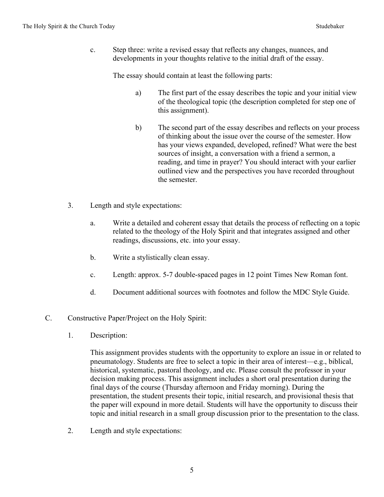c. Step three: write a revised essay that reflects any changes, nuances, and developments in your thoughts relative to the initial draft of the essay.

The essay should contain at least the following parts:

- a) The first part of the essay describes the topic and your initial view of the theological topic (the description completed for step one of this assignment).
- b) The second part of the essay describes and reflects on your process of thinking about the issue over the course of the semester. How has your views expanded, developed, refined? What were the best sources of insight, a conversation with a friend a sermon, a reading, and time in prayer? You should interact with your earlier outlined view and the perspectives you have recorded throughout the semester.
- 3. Length and style expectations:
	- a. Write a detailed and coherent essay that details the process of reflecting on a topic related to the theology of the Holy Spirit and that integrates assigned and other readings, discussions, etc. into your essay.
	- b. Write a stylistically clean essay.
	- c. Length: approx. 5-7 double-spaced pages in 12 point Times New Roman font.
	- d. Document additional sources with footnotes and follow the MDC Style Guide.
- C. Constructive Paper/Project on the Holy Spirit:
	- 1. Description:

This assignment provides students with the opportunity to explore an issue in or related to pneumatology. Students are free to select a topic in their area of interest—e.g., biblical, historical, systematic, pastoral theology, and etc. Please consult the professor in your decision making process. This assignment includes a short oral presentation during the final days of the course (Thursday afternoon and Friday morning). During the presentation, the student presents their topic, initial research, and provisional thesis that the paper will expound in more detail. Students will have the opportunity to discuss their topic and initial research in a small group discussion prior to the presentation to the class.

2. Length and style expectations: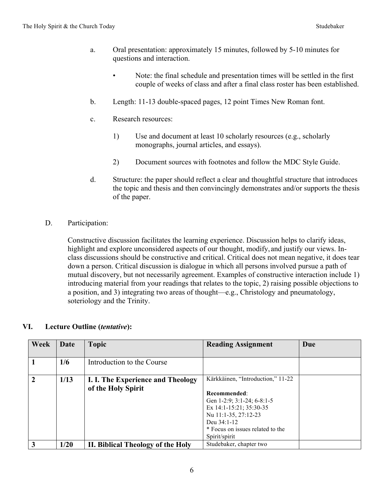- a. Oral presentation: approximately 15 minutes, followed by 5-10 minutes for questions and interaction.
	- Note: the final schedule and presentation times will be settled in the first couple of weeks of class and after a final class roster has been established.
- b. Length: 11-13 double-spaced pages, 12 point Times New Roman font.
- c. Research resources:
	- 1) Use and document at least 10 scholarly resources (e.g., scholarly monographs, journal articles, and essays).
	- 2) Document sources with footnotes and follow the MDC Style Guide.
- d. Structure: the paper should reflect a clear and thoughtful structure that introduces the topic and thesis and then convincingly demonstrates and/or supports the thesis of the paper.

#### D. Participation:

Constructive discussion facilitates the learning experience. Discussion helps to clarify ideas, highlight and explore unconsidered aspects of our thought, modify, and justify our views. Inclass discussions should be constructive and critical. Critical does not mean negative, it does tear down a person. Critical discussion is dialogue in which all persons involved pursue a path of mutual discovery, but not necessarily agreement. Examples of constructive interaction include 1) introducing material from your readings that relates to the topic, 2) raising possible objections to a position, and 3) integrating two areas of thought—e.g., Christology and pneumatology, soteriology and the Trinity.

| Week           | Date | <b>Topic</b>                                            | <b>Reading Assignment</b>                                                                                                                                                                              | Due |
|----------------|------|---------------------------------------------------------|--------------------------------------------------------------------------------------------------------------------------------------------------------------------------------------------------------|-----|
|                | 1/6  | Introduction to the Course                              |                                                                                                                                                                                                        |     |
| $\overline{2}$ | 1/13 | I. I. The Experience and Theology<br>of the Holy Spirit | Kärkkäinen, "Introduction," 11-22<br>Recommended:<br>Gen 1-2:9; 3:1-24; 6-8:1-5<br>Ex 14:1-15:21; 35:30-35<br>Nu 11:1-35, 27:12-23<br>Deu 34:1-12<br>* Focus on issues related to the<br>Spirit/spirit |     |
| 3              | 1/20 | II. Biblical Theology of the Holy                       | Studebaker, chapter two                                                                                                                                                                                |     |

#### **VI. Lecture Outline (***tentative***):**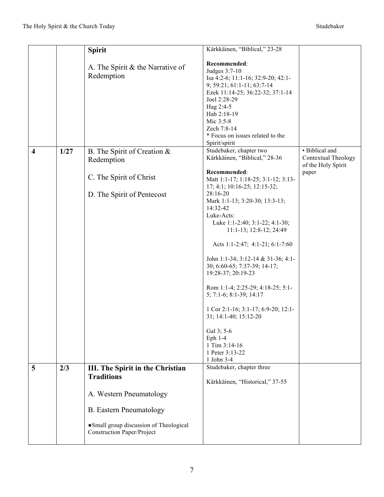|                         |      | <b>Spirit</b>                           | Kärkkäinen, "Biblical," 23-28                    |                     |
|-------------------------|------|-----------------------------------------|--------------------------------------------------|---------------------|
|                         |      |                                         |                                                  |                     |
|                         |      | A. The Spirit & the Narrative of        | Recommended:                                     |                     |
|                         |      | Redemption                              | Judges 3:7-10                                    |                     |
|                         |      |                                         | Isa 4:2-6; 11:1-16; 32:9-20; 42:1-               |                     |
|                         |      |                                         | 9; 59:21; 61:1-11; 63:7-14                       |                     |
|                         |      |                                         | Ezek 11:14-25; 36:22-32; 37:1-14<br>Joel 2:28-29 |                     |
|                         |      |                                         | Hag 2:4-5                                        |                     |
|                         |      |                                         | Hab 2:18-19                                      |                     |
|                         |      |                                         | Mic 3:5-8                                        |                     |
|                         |      |                                         | Zech 7:8-14                                      |                     |
|                         |      |                                         | * Focus on issues related to the                 |                     |
|                         |      |                                         | Spirit/spirit                                    |                     |
| $\overline{\mathbf{4}}$ | 1/27 | B. The Spirit of Creation &             | Studebaker, chapter two                          | • Biblical and      |
|                         |      | Redemption                              | Kärkkäinen, "Biblical," 28-36                    | Contextual Theology |
|                         |      |                                         |                                                  | of the Holy Spirit  |
|                         |      |                                         | Recommended:                                     | paper               |
|                         |      | C. The Spirit of Christ                 | Matt 1:1-17; 1:18-25; 3:1-12; 3:13-              |                     |
|                         |      |                                         | 17; 4:1; 10:16-25; 12:15-32;                     |                     |
|                         |      | D. The Spirit of Pentecost              | 28:16-20                                         |                     |
|                         |      |                                         | Mark 1:1-13; 3:20-30; 13:3-13;                   |                     |
|                         |      |                                         | 14:32-42                                         |                     |
|                         |      |                                         | Luke-Acts:                                       |                     |
|                         |      |                                         | Luke 1:1-2:40; 3:1-22; 4:1-30;                   |                     |
|                         |      |                                         | 11:1-13; 12:8-12; 24:49                          |                     |
|                         |      |                                         | Acts 1:1-2:47; 4:1-21; 6:1-7:60                  |                     |
|                         |      |                                         | John 1:1-34; 3:12-14 & 31-36; 4:1-               |                     |
|                         |      |                                         | 30; 6:60-65; 7:37-39; 14-17;                     |                     |
|                         |      |                                         | 19:28-37; 20:19-23                               |                     |
|                         |      |                                         |                                                  |                     |
|                         |      |                                         | Rom 1:1-4; 2:25-29; 4:18-25; 5:1-                |                     |
|                         |      |                                         | 5; 7:1-6; 8:1-39; 14:17                          |                     |
|                         |      |                                         |                                                  |                     |
|                         |      |                                         | 1 Cor 2:1-16; 3:1-17; 6:9-20; 12:1-              |                     |
|                         |      |                                         | 31; 14:1-40; 15:12-20                            |                     |
|                         |      |                                         |                                                  |                     |
|                         |      |                                         | Gal 3; 5-6                                       |                     |
|                         |      |                                         | Eph $1-4$                                        |                     |
|                         |      |                                         | 1 Tim 3:14-16                                    |                     |
|                         |      |                                         | 1 Peter 3:13-22                                  |                     |
|                         |      |                                         | 1 John 3-4<br>Studebaker, chapter three          |                     |
| 5                       | 2/3  | III. The Spirit in the Christian        |                                                  |                     |
|                         |      | <b>Traditions</b>                       | Kärkkäinen, "Historical," 37-55                  |                     |
|                         |      |                                         |                                                  |                     |
|                         |      | A. Western Pneumatology                 |                                                  |                     |
|                         |      | <b>B.</b> Eastern Pneumatology          |                                                  |                     |
|                         |      | • Small group discussion of Theological |                                                  |                     |
|                         |      | <b>Construction Paper/Project</b>       |                                                  |                     |
|                         |      |                                         |                                                  |                     |
|                         |      |                                         |                                                  |                     |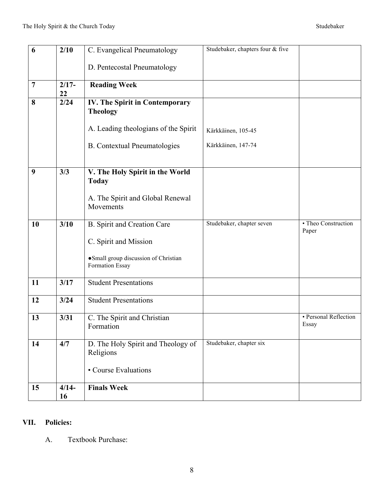| 6              | 2/10          | C. Evangelical Pneumatology                              | Studebaker, chapters four & five |                                |
|----------------|---------------|----------------------------------------------------------|----------------------------------|--------------------------------|
|                |               | D. Pentecostal Pneumatology                              |                                  |                                |
| $\overline{7}$ | $2/17-$<br>22 | <b>Reading Week</b>                                      |                                  |                                |
| 8              | 2/24          | IV. The Spirit in Contemporary<br><b>Theology</b>        |                                  |                                |
|                |               | A. Leading theologians of the Spirit                     | Kärkkäinen, 105-45               |                                |
|                |               | <b>B.</b> Contextual Pneumatologies                      | Kärkkäinen, 147-74               |                                |
|                |               |                                                          |                                  |                                |
| 9              | 3/3           | V. The Holy Spirit in the World<br><b>Today</b>          |                                  |                                |
|                |               |                                                          |                                  |                                |
|                |               | A. The Spirit and Global Renewal<br>Movements            |                                  |                                |
| 10             | 3/10          | <b>B.</b> Spirit and Creation Care                       | Studebaker, chapter seven        | • Theo Construction<br>Paper   |
|                |               | C. Spirit and Mission                                    |                                  |                                |
|                |               | · Small group discussion of Christian<br>Formation Essay |                                  |                                |
| 11             | 3/17          | <b>Student Presentations</b>                             |                                  |                                |
| 12             | 3/24          | <b>Student Presentations</b>                             |                                  |                                |
| 13             | 3/31          | C. The Spirit and Christian<br>Formation                 |                                  | • Personal Reflection<br>Essay |
| 14             | 4/7           | D. The Holy Spirit and Theology of<br>Religions          | Studebaker, chapter six          |                                |
|                |               | • Course Evaluations                                     |                                  |                                |
| 15             | $4/14-$<br>16 | <b>Finals Week</b>                                       |                                  |                                |

# **VII. Policies:**

A. Textbook Purchase: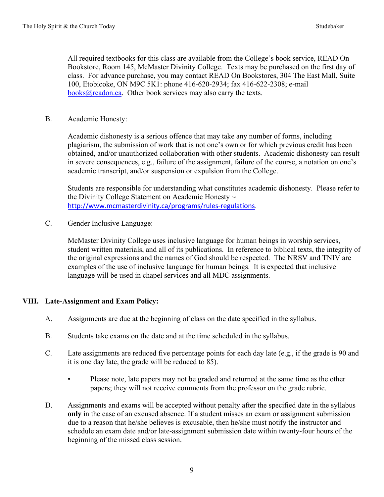All required textbooks for this class are available from the College's book service, READ On Bookstore, Room 145, McMaster Divinity College. Texts may be purchased on the first day of class. For advance purchase, you may contact READ On Bookstores, 304 The East Mall, Suite 100, Etobicoke, ON M9C 5K1: phone 416-620-2934; fax 416-622-2308; e-mail  $books@readon.ca.$  Other book services may also carry the texts.

B. Academic Honesty:

Academic dishonesty is a serious offence that may take any number of forms, including plagiarism, the submission of work that is not one's own or for which previous credit has been obtained, and/or unauthorized collaboration with other students. Academic dishonesty can result in severe consequences, e.g., failure of the assignment, failure of the course, a notation on one's academic transcript, and/or suspension or expulsion from the College.

Students are responsible for understanding what constitutes academic dishonesty. Please refer to the Divinity College Statement on Academic Honesty ~ http://www.mcmasterdivinity.ca/programs/rules-regulations.

C. Gender Inclusive Language:

McMaster Divinity College uses inclusive language for human beings in worship services, student written materials, and all of its publications. In reference to biblical texts, the integrity of the original expressions and the names of God should be respected. The NRSV and TNIV are examples of the use of inclusive language for human beings. It is expected that inclusive language will be used in chapel services and all MDC assignments.

# **VIII. Late-Assignment and Exam Policy:**

- A. Assignments are due at the beginning of class on the date specified in the syllabus.
- B. Students take exams on the date and at the time scheduled in the syllabus.
- C. Late assignments are reduced five percentage points for each day late (e.g., if the grade is 90 and it is one day late, the grade will be reduced to 85).
	- Please note, late papers may not be graded and returned at the same time as the other papers; they will not receive comments from the professor on the grade rubric.
- D. Assignments and exams will be accepted without penalty after the specified date in the syllabus **only** in the case of an excused absence. If a student misses an exam or assignment submission due to a reason that he/she believes is excusable, then he/she must notify the instructor and schedule an exam date and/or late-assignment submission date within twenty-four hours of the beginning of the missed class session.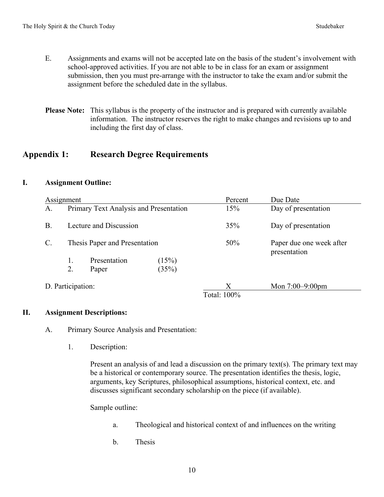- E. Assignments and exams will not be accepted late on the basis of the student's involvement with school-approved activities. If you are not able to be in class for an exam or assignment submission, then you must pre-arrange with the instructor to take the exam and/or submit the assignment before the scheduled date in the syllabus.
- **Please Note:** This syllabus is the property of the instructor and is prepared with currently available information. The instructor reserves the right to make changes and revisions up to and including the first day of class.

# **Appendix 1: Research Degree Requirements**

## **I. Assignment Outline:**

| Assignment        |                                        |                     |                    | Percent | Due Date                                 |
|-------------------|----------------------------------------|---------------------|--------------------|---------|------------------------------------------|
| A.                | Primary Text Analysis and Presentation |                     |                    | 15%     | Day of presentation                      |
| В.                | Lecture and Discussion                 |                     |                    | 35%     | Day of presentation                      |
| $\mathcal{C}$ .   | Thesis Paper and Presentation          |                     |                    | 50%     | Paper due one week after<br>presentation |
|                   | 1.                                     | Presentation        | (15%)              |         |                                          |
|                   | $\overline{2}$ .                       | Paper               | (35%)              |         |                                          |
| D. Participation: |                                        | X<br>$-1$ $-1$ $-0$ | Mon $7:00-9:00$ pm |         |                                          |

#### Total: 100%

## **II. Assignment Descriptions:**

- A. Primary Source Analysis and Presentation:
	- 1. Description:

Present an analysis of and lead a discussion on the primary text(s). The primary text may be a historical or contemporary source. The presentation identifies the thesis, logic, arguments, key Scriptures, philosophical assumptions, historical context, etc. and discusses significant secondary scholarship on the piece (if available).

Sample outline:

- a. Theological and historical context of and influences on the writing
- b. Thesis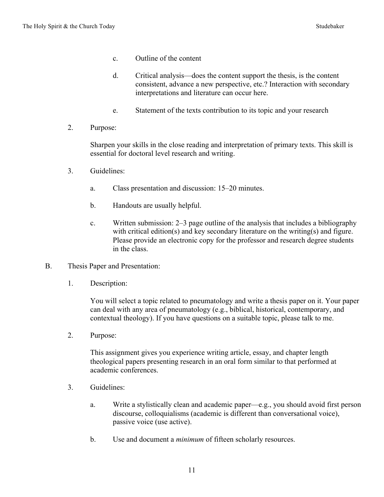- c. Outline of the content
- d. Critical analysis—does the content support the thesis, is the content consistent, advance a new perspective, etc.? Interaction with secondary interpretations and literature can occur here.
- e. Statement of the texts contribution to its topic and your research
- 2. Purpose:

Sharpen your skills in the close reading and interpretation of primary texts. This skill is essential for doctoral level research and writing.

- 3. Guidelines:
	- a. Class presentation and discussion: 15–20 minutes.
	- b. Handouts are usually helpful.
	- c. Written submission: 2–3 page outline of the analysis that includes a bibliography with critical edition(s) and key secondary literature on the writing(s) and figure. Please provide an electronic copy for the professor and research degree students in the class.
- B. Thesis Paper and Presentation:
	- 1. Description:

You will select a topic related to pneumatology and write a thesis paper on it. Your paper can deal with any area of pneumatology (e.g., biblical, historical, contemporary, and contextual theology). If you have questions on a suitable topic, please talk to me.

2. Purpose:

This assignment gives you experience writing article, essay, and chapter length theological papers presenting research in an oral form similar to that performed at academic conferences.

- 3. Guidelines:
	- a. Write a stylistically clean and academic paper—e.g., you should avoid first person discourse, colloquialisms (academic is different than conversational voice), passive voice (use active).
	- b. Use and document a *minimum* of fifteen scholarly resources.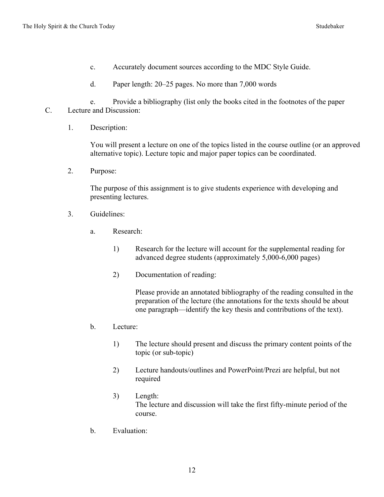- c. Accurately document sources according to the MDC Style Guide.
- d. Paper length: 20–25 pages. No more than 7,000 words

e. Provide a bibliography (list only the books cited in the footnotes of the paper C. Lecture and Discussion:

1. Description:

You will present a lecture on one of the topics listed in the course outline (or an approved alternative topic). Lecture topic and major paper topics can be coordinated.

2. Purpose:

The purpose of this assignment is to give students experience with developing and presenting lectures.

- 3. Guidelines:
	- a. Research:
		- 1) Research for the lecture will account for the supplemental reading for advanced degree students (approximately 5,000-6,000 pages)
		- 2) Documentation of reading:

Please provide an annotated bibliography of the reading consulted in the preparation of the lecture (the annotations for the texts should be about one paragraph—identify the key thesis and contributions of the text).

- b. Lecture:
	- 1) The lecture should present and discuss the primary content points of the topic (or sub-topic)
	- 2) Lecture handouts/outlines and PowerPoint/Prezi are helpful, but not required
	- 3) Length: The lecture and discussion will take the first fifty-minute period of the course.
- b. Evaluation: